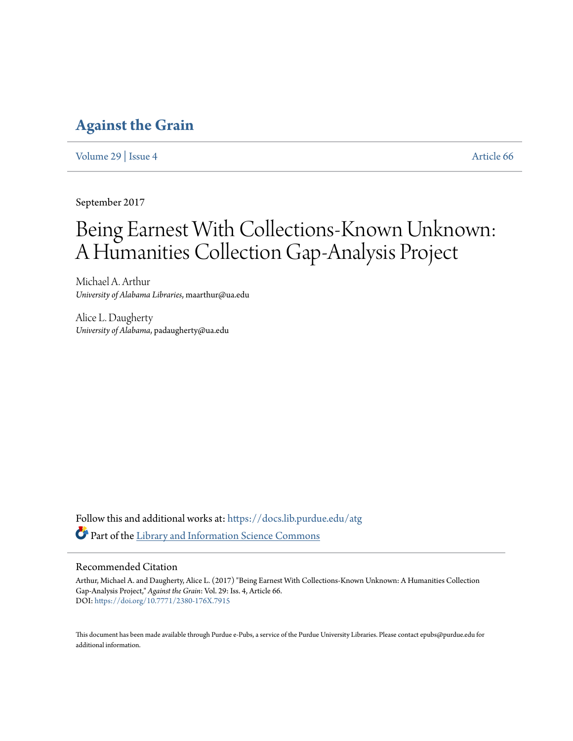# **[Against the Grain](https://docs.lib.purdue.edu/atg?utm_source=docs.lib.purdue.edu%2Fatg%2Fvol29%2Fiss4%2F66&utm_medium=PDF&utm_campaign=PDFCoverPages)**

[Volume 29](https://docs.lib.purdue.edu/atg/vol29?utm_source=docs.lib.purdue.edu%2Fatg%2Fvol29%2Fiss4%2F66&utm_medium=PDF&utm_campaign=PDFCoverPages) | [Issue 4](https://docs.lib.purdue.edu/atg/vol29/iss4?utm_source=docs.lib.purdue.edu%2Fatg%2Fvol29%2Fiss4%2F66&utm_medium=PDF&utm_campaign=PDFCoverPages) [Article 66](https://docs.lib.purdue.edu/atg/vol29/iss4/66?utm_source=docs.lib.purdue.edu%2Fatg%2Fvol29%2Fiss4%2F66&utm_medium=PDF&utm_campaign=PDFCoverPages)

September 2017

# Being Earnest With Collections-Known Unknown: A Humanities Collection Gap-Analysis Project

Michael A. Arthur *University of Alabama Libraries*, maarthur@ua.edu

Alice L. Daugherty *University of Alabama*, padaugherty@ua.edu

Follow this and additional works at: [https://docs.lib.purdue.edu/atg](https://docs.lib.purdue.edu/atg?utm_source=docs.lib.purdue.edu%2Fatg%2Fvol29%2Fiss4%2F66&utm_medium=PDF&utm_campaign=PDFCoverPages) Part of the [Library and Information Science Commons](http://network.bepress.com/hgg/discipline/1018?utm_source=docs.lib.purdue.edu%2Fatg%2Fvol29%2Fiss4%2F66&utm_medium=PDF&utm_campaign=PDFCoverPages)

## Recommended Citation

Arthur, Michael A. and Daugherty, Alice L. (2017) "Being Earnest With Collections-Known Unknown: A Humanities Collection Gap-Analysis Project," *Against the Grain*: Vol. 29: Iss. 4, Article 66. DOI: <https://doi.org/10.7771/2380-176X.7915>

This document has been made available through Purdue e-Pubs, a service of the Purdue University Libraries. Please contact epubs@purdue.edu for additional information.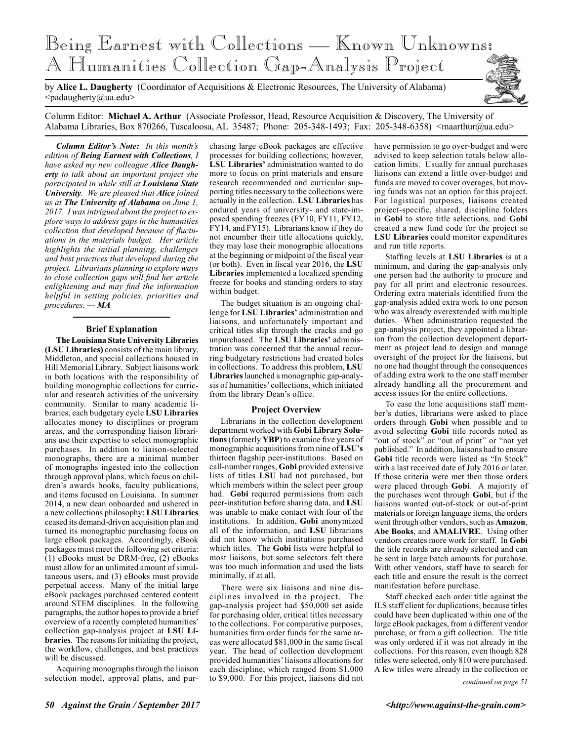

by **Alice L. Daugherty** (Coordinator of Acquisitions & Electronic Resources, The University of Alabama)  $\langle$ padaugherty@ua.edu>

Column Editor: **Michael A. Arthur** (Associate Professor, Head, Resource Acquisition & Discovery, The University of Alabama Libraries, Box 870266, Tuscaloosa, AL 35487; Phone: 205-348-1493; Fax: 205-348-6358) <maarthur@ua.edu>

*Column Editor's Note: In this month's edition of Being Earnest with Collections, I have asked my new colleague Alice Daugherty to talk about an important project she participated in while still at Louisiana State University. We are pleased that Alice joined us at The University of Alabama on June 1, 2017. I was intrigued about the project to explore ways to address gaps in the humanities collection that developed because of fluctuations in the materials budget. Her article highlights the initial planning, challenges and best practices that developed during the project. Librarians planning to explore ways to close collection gaps will find her article enlightening and may find the information helpful in setting policies, priorities and procedures. — MA*

#### **Brief Explanation**

**The Louisiana State University Libraries (LSU Libraries)** consists of the main library, Middleton, and special collections housed in Hill Memorial Library. Subject liaisons work in both locations with the responsibility of building monographic collections for curricular and research activities of the university community. Similar to many academic libraries, each budgetary cycle **LSU Libraries** allocates money to disciplines or program areas, and the corresponding liaison librarians use their expertise to select monographic purchases. In addition to liaison-selected monographs, there are a minimal number of monographs ingested into the collection through approval plans, which focus on children's awards books, faculty publications, and items focused on Louisiana. In summer 2014, a new dean onboarded and ushered in a new collections philosophy; **LSU Libraries** ceased its demand-driven acquisition plan and turned its monographic purchasing focus on large eBook packages. Accordingly, eBook packages must meet the following set criteria: (1) eBooks must be DRM-free, (2) eBooks must allow for an unlimited amount of simultaneous users, and (3) eBooks must provide perpetual access. Many of the initial large eBook packages purchased centered content around STEM disciplines. In the following paragraphs, the author hopes to provide a brief overview of a recently completed humanities' collection gap-analysis project at **LSU Libraries**. The reasons for initiating the project, the workflow, challenges, and best practices will be discussed.

Acquiring monographs through the liaison selection model, approval plans, and purchasing large eBook packages are effective processes for building collections; however, **LSU Libraries'** administration wanted to do more to focus on print materials and ensure research recommended and curricular supporting titles necessary to the collections were actually in the collection. **LSU Libraries** has endured years of university- and state-imposed spending freezes (FY10, FY11, FY12, FY14, and FY15). Librarians know if they do not encumber their title allocations quickly, they may lose their monographic allocations at the beginning or midpoint of the fiscal year (or both). Even in fiscal year 2016, the **LSU Libraries** implemented a localized spending freeze for books and standing orders to stay within budget.

The budget situation is an ongoing challenge for **LSU Libraries'** administration and liaisons, and unfortunately important and critical titles slip through the cracks and go unpurchased. The **LSU Libraries'** administration was concerned that the annual recurring budgetary restrictions had created holes in collections. To address this problem, **LSU Libraries** launched a monographic gap-analysis of humanities' collections, which initiated from the library Dean's office.

#### **Project Overview**

Librarians in the collection development department worked with **Gobi Library Solutions** (formerly **YBP**) to examine five years of monographic acquisitions from nine of **LSU's**  thirteen flagship peer-institutions. Based on call-number ranges, **Gobi** provided extensive lists of titles **LSU** had not purchased, but which members within the select peer group had. **Gobi** required permissions from each peer-institution before sharing data, and **LSU** was unable to make contact with four of the institutions. In addition, **Gobi** anonymized all of the information, and **LSU** librarians did not know which institutions purchased which titles. The **Gobi** lists were helpful to most liaisons, but some selectors felt there was too much information and used the lists minimally, if at all.

There were six liaisons and nine disciplines involved in the project. The gap-analysis project had \$50,000 set aside for purchasing older, critical titles necessary to the collections. For comparative purposes, humanities firm order funds for the same areas were allocated \$81,000 in the same fiscal year. The head of collection development provided humanities' liaisons allocations for each discipline, which ranged from \$1,000 to \$9,000. For this project, liaisons did not

have permission to go over-budget and were advised to keep selection totals below allocation limits. Usually for annual purchases liaisons can extend a little over-budget and funds are moved to cover overages, but moving funds was not an option for this project. For logistical purposes, liaisons created project-specific, shared, discipline folders in **Gobi** to store title selections, and **Gobi** created a new fund code for the project so **LSU Libraries** could monitor expenditures and run title reports.

Staffing levels at **LSU Libraries** is at a minimum, and during the gap-analysis only one person had the authority to procure and pay for all print and electronic resources. Ordering extra materials identified from the gap-analysis added extra work to one person who was already overextended with multiple duties. When administration requested the gap-analysis project, they appointed a librarian from the collection development department as project lead to design and manage oversight of the project for the liaisons, but no one had thought through the consequences of adding extra work to the one staff member already handling all the procurement and access issues for the entire collections.

To ease the lone acquisitions staff member's duties, librarians were asked to place orders through **Gobi** when possible and to avoid selecting **Gobi** title records noted as "out of stock" or "out of print" or "not yet published." In addition, liaisons had to ensure **Gobi** title records were listed as "In Stock" with a last received date of July 2016 or later. If those criteria were met then those orders were placed through **Gobi**. A majority of the purchases went through **Gobi**, but if the liaisons wanted out-of-stock or out-of-print materials or foreign language items, the orders went through other vendors, such as **Amazon**, **Abe Books**, and **AMALIVRE**. Using other vendors creates more work for staff. In **Gobi** the title records are already selected and can be sent in large batch amounts for purchase. With other vendors, staff have to search for each title and ensure the result is the correct manifestation before purchase.

Staff checked each order title against the ILS staff client for duplications, because titles could have been duplicated within one of the large eBook packages, from a different vendor purchase, or from a gift collection. The title was only ordered if it was not already in the collections. For this reason, even though 828 titles were selected, only 810 were purchased. A few titles were already in the collection or

*continued on page 51*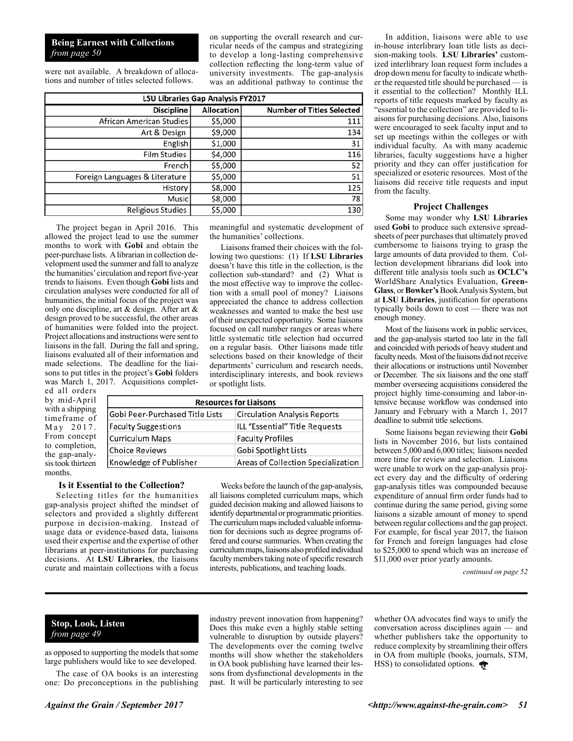#### **Being Earnest with Collections** *from page 50*

were not available. A breakdown of allocations and number of titles selected follows.

on supporting the overall research and curricular needs of the campus and strategizing to develop a long-lasting comprehensive collection reflecting the long-term value of university investments. The gap-analysis was an additional pathway to continue the

| LSU Libraries Gap Analysis FY2017 |                   |                                  |
|-----------------------------------|-------------------|----------------------------------|
| <b>Discipline</b>                 | <b>Allocation</b> | <b>Number of Titles Selected</b> |
| African American Studies          | \$5,000           | 111                              |
| Art & Design                      | \$9,000           | 134                              |
| English                           | \$1,000           | 31                               |
| <b>Film Studies</b>               | \$4,000           | 116                              |
| French                            | \$5,000           | 52                               |
| Foreign Languages & Literature    | \$5,000           | 51                               |
| History                           | \$8,000           | 125                              |
| Music                             | \$8,000           | 78                               |
| <b>Religious Studies</b>          | \$5,000           | 130                              |

The project began in April 2016. This allowed the project lead to use the summer months to work with **Gobi** and obtain the peer-purchase lists. A librarian in collection development used the summer and fall to analyze the humanities' circulation and report five-year trends to liaisons. Even though **Gobi** lists and circulation analyses were conducted for all of humanities, the initial focus of the project was only one discipline, art & design. After art & design proved to be successful, the other areas of humanities were folded into the project. Project allocations and instructions were sent to liaisons in the fall. During the fall and spring, liaisons evaluated all of their information and made selections. The deadline for the liaisons to put titles in the project's **Gobi** folders was March 1, 2017. Acquisitions complet-

ed all orders by mid-April with a shipping timeframe o May 2017 From concep to completion the gap-analysis took thirteen months.

meaningful and systematic development of the humanities' collections.

Liaisons framed their choices with the following two questions: (1) If **LSU Libraries** doesn't have this title in the collection, is the collection sub-standard? and (2) What is the most effective way to improve the collection with a small pool of money? Liaisons appreciated the chance to address collection weaknesses and wanted to make the best use of their unexpected opportunity. Some liaisons focused on call number ranges or areas where little systematic title selection had occurred on a regular basis. Other liaisons made title selections based on their knowledge of their departments' curriculum and research needs, interdisciplinary interests, and book reviews or spotlight lists.

|        | <b>Resources for Liaisons</b>   |                                     |  |
|--------|---------------------------------|-------------------------------------|--|
| g<br>f | Gobi Peer-Purchased Title Lists | <b>Circulation Analysis Reports</b> |  |
|        | <b>Faculty Suggestions</b>      | ILL "Essential" Title Requests      |  |
| t      | <b>Curriculum Maps</b>          | <b>Faculty Profiles</b>             |  |
| ι,     | <b>Choice Reviews</b>           | Gobi Spotlight Lists                |  |
|        | Knowledge of Publisher          | Areas of Collection Specialization  |  |

#### **Is it Essential to the Collection?**

Selecting titles for the humanities gap-analysis project shifted the mindset of selectors and provided a slightly different purpose in decision-making. Instead of usage data or evidence-based data, liaisons used their expertise and the expertise of other librarians at peer-institutions for purchasing decisions. At **LSU Libraries**, the liaisons curate and maintain collections with a focus

Weeks before the launch of the gap-analysis, all liaisons completed curriculum maps, which guided decision making and allowed liaisons to identify departmental or programmatic priorities. The curriculum maps included valuable information for decisions such as degree programs offered and course summaries. When creating the curriculum maps, liaisons also profiled individual faculty members taking note of specific research interests, publications, and teaching loads.

In addition, liaisons were able to use in-house interlibrary loan title lists as decision-making tools. **LSU Libraries'** customized interlibrary loan request form includes a drop down menu for faculty to indicate whether the requested title should be purchased — is it essential to the collection? Monthly ILL reports of title requests marked by faculty as "essential to the collection" are provided to liaisons for purchasing decisions. Also, liaisons were encouraged to seek faculty input and to set up meetings within the colleges or with individual faculty. As with many academic libraries, faculty suggestions have a higher priority and they can offer justification for specialized or esoteric resources. Most of the liaisons did receive title requests and input from the faculty.

#### **Project Challenges**

Some may wonder why **LSU Libraries** used **Gobi** to produce such extensive spreadsheets of peer purchases that ultimately proved cumbersome to liaisons trying to grasp the large amounts of data provided to them. Collection development librarians did look into different title analysis tools such as **OCLC's** WorldShare Analytics Evaluation, **Green-Glass**, or **Bowker's** Book Analysis System, but at **LSU Libraries**, justification for operations typically boils down to cost — there was not enough money.

Most of the liaisons work in public services, and the gap-analysis started too late in the fall and coincided with periods of heavy student and faculty needs. Most of the liaisons did not receive their allocations or instructions until November or December. The six liaisons and the one staff member overseeing acquisitions considered the project highly time-consuming and labor-intensive because workflow was condensed into January and February with a March 1, 2017 deadline to submit title selections.

Some liaisons began reviewing their **Gobi** lists in November 2016, but lists contained between 5,000 and 6,000 titles; liaisons needed more time for review and selection. Liaisons were unable to work on the gap-analysis project every day and the difficulty of ordering gap-analysis titles was compounded because expenditure of annual firm order funds had to continue during the same period, giving some liaisons a sizable amount of money to spend between regular collections and the gap project. For example, for fiscal year 2017, the liaison for French and foreign languages had close to \$25,000 to spend which was an increase of \$11,000 over prior yearly amounts.

*continued on page 52*

### **Stop, Look, Listen** *from page 49*

as opposed to supporting the models that some large publishers would like to see developed.

The case of OA books is an interesting one: Do preconceptions in the publishing

industry prevent innovation from happening? Does this make even a highly stable setting vulnerable to disruption by outside players? The developments over the coming twelve months will show whether the stakeholders in OA book publishing have learned their lessons from dysfunctional developments in the past. It will be particularly interesting to see

whether OA advocates find ways to unify the conversation across disciplines again — and whether publishers take the opportunity to reduce complexity by streamlining their offers in OA from multiple (books, journals, STM, HSS) to consolidated options.